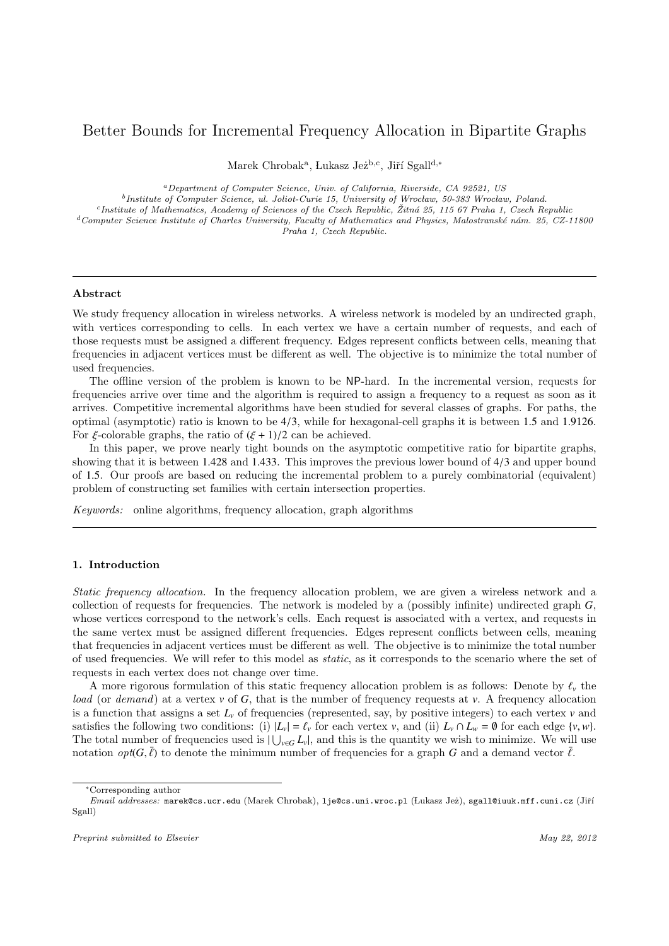# Better Bounds for Incremental Frequency Allocation in Bipartite Graphs

Marek Chrobak<sup>a</sup>, Lukasz Jeż<sup>b,c</sup>, Jiří Sgall<sup>d,\*</sup>

<sup>a</sup>Department of Computer Science, Univ. of California, Riverside, CA 92521, US <sup>b</sup>Institute of Computer Science, ul. Joliot-Curie 15, University of Wrocław, 50-383 Wrocław, Poland. <sup>c</sup>Institute of Mathematics, Academy of Sciences of the Czech Republic, Žitná 25, 115 67 Praha 1, Czech Republic  $d$ Computer Science Institute of Charles University, Faculty of Mathematics and Physics, Malostranské nám. 25, CZ-11800

Praha 1, Czech Republic.

## Abstract

We study frequency allocation in wireless networks. A wireless network is modeled by an undirected graph, with vertices corresponding to cells. In each vertex we have a certain number of requests, and each of those requests must be assigned a different frequency. Edges represent conflicts between cells, meaning that frequencies in adjacent vertices must be different as well. The objective is to minimize the total number of used frequencies.

The offline version of the problem is known to be NP-hard. In the incremental version, requests for frequencies arrive over time and the algorithm is required to assign a frequency to a request as soon as it arrives. Competitive incremental algorithms have been studied for several classes of graphs. For paths, the optimal (asymptotic) ratio is known to be <sup>4</sup>/3, while for hexagonal-cell graphs it is between <sup>1</sup>.<sup>5</sup> and <sup>1</sup>.9126. For  $\xi$ -colorable graphs, the ratio of  $(\xi + 1)/2$  can be achieved.

In this paper, we prove nearly tight bounds on the asymptotic competitive ratio for bipartite graphs, showing that it is between <sup>1</sup>.<sup>428</sup> and <sup>1</sup>.433. This improves the previous lower bound of <sup>4</sup>/<sup>3</sup> and upper bound of <sup>1</sup>.5. Our proofs are based on reducing the incremental problem to a purely combinatorial (equivalent) problem of constructing set families with certain intersection properties.

Keywords: online algorithms, frequency allocation, graph algorithms

## 1. Introduction

Static frequency allocation. In the frequency allocation problem, we are given a wireless network and a collection of requests for frequencies. The network is modeled by a (possibly infinite) undirected graph *G*, whose vertices correspond to the network's cells. Each request is associated with a vertex, and requests in the same vertex must be assigned different frequencies. Edges represent conflicts between cells, meaning that frequencies in adjacent vertices must be different as well. The objective is to minimize the total number of used frequencies. We will refer to this model as static, as it corresponds to the scenario where the set of requests in each vertex does not change over time.

A more rigorous formulation of this static frequency allocation problem is as follows: Denote by  $\ell_v$  the load (or demand) at a vertex *v* of *G*, that is the number of frequency requests at *v*. A frequency allocation is a function that assigns a set  $L<sub>v</sub>$  of frequencies (represented, say, by positive integers) to each vertex  $v$  and satisfies the following two conditions: (i)  $|L_v| = \ell_v$  for each vertex *v*, and (ii)  $L_v \cap L_w = \emptyset$  for each edge  $\{v, w\}$ . The total number of frequencies used is  $|\bigcup_{v \in G} L_v|$ , and this is the quantity we wish to minimize. We will use notation  $opt(G, \bar{\ell})$  to denote the minimum number of frequencies for a graph *G* and a demand vector  $\bar{\ell}$ .

<sup>∗</sup>Corresponding author

Email addresses: marek@cs.ucr.edu (Marek Chrobak), lje@cs.uni.wroc.pl (Lukasz Jeż), sgall@iuuk.mff.cuni.cz (Jiří Sgall)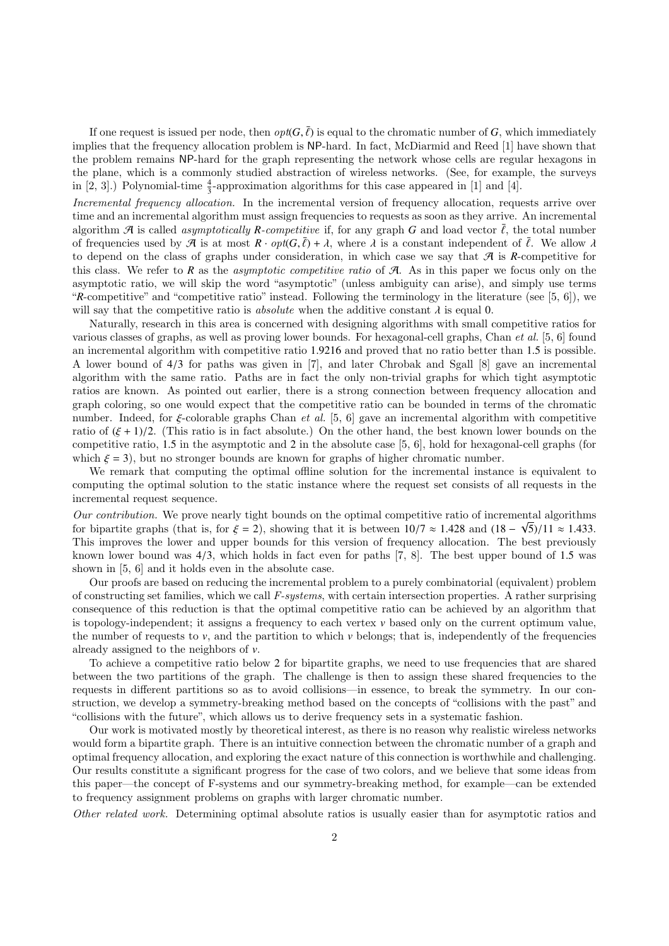If one request is issued per node, then  $opt(G, \bar{\ell})$  is equal to the chromatic number of *G*, which immediately blues that the frequency allocation problem is NP-hard. In fact, McDiarmid and Reed [1] have shown that implies that the frequency allocation problem is NP-hard. In fact, McDiarmid and Reed [1] have shown that the problem remains NP-hard for the graph representing the network whose cells are regular hexagons in the plane, which is a commonly studied abstraction of wireless networks. (See, for example, the surveys in [2, 3].) Polynomial-time  $\frac{4}{3}$ -approximation algorithms for this case appeared in [1] and [4].

Incremental frequency allocation. In the incremental version of frequency allocation, requests arrive over time and an incremental algorithm must assign frequencies to requests as soon as they arrive. An incremental algorithm  $\mathcal{A}$  is called *asymptotically R-competitive* if, for any graph G and load vector  $\tilde{\ell}$ , the total number of frequencies used by  $\mathcal{A}$  is at most  $R \cdot opt(G, \bar{\ell}) + \lambda$ , where  $\lambda$  is a constant independent of  $\bar{\ell}$ . We allow  $\lambda$ <br>to depend on the class of graphs under consideration in which case we say that  $\mathcal{A}$  is R-conn to depend on the class of graphs under consideration, in which case we say that  $\mathcal A$  is  $R$ -competitive for this class. We refer to  $R$  as the *asymptotic competitive ratio* of  $A$ . As in this paper we focus only on the asymptotic ratio, we will skip the word "asymptotic" (unless ambiguity can arise), and simply use terms "*R*-competitive" and "competitive ratio" instead. Following the terminology in the literature (see [5, 6]), we will say that the competitive ratio is *absolute* when the additive constant  $\lambda$  is equal 0.

Naturally, research in this area is concerned with designing algorithms with small competitive ratios for various classes of graphs, as well as proving lower bounds. For hexagonal-cell graphs, Chan et al. [5, 6] found an incremental algorithm with competitive ratio <sup>1</sup>.<sup>9216</sup> and proved that no ratio better than <sup>1</sup>.<sup>5</sup> is possible. A lower bound of <sup>4</sup>/<sup>3</sup> for paths was given in [7], and later Chrobak and Sgall [8] gave an incremental algorithm with the same ratio. Paths are in fact the only non-trivial graphs for which tight asymptotic ratios are known. As pointed out earlier, there is a strong connection between frequency allocation and graph coloring, so one would expect that the competitive ratio can be bounded in terms of the chromatic number. Indeed, for  $\xi$ -colorable graphs Chan *et al.* [5, 6] gave an incremental algorithm with competitive ratio of  $(\xi + 1)/2$ . (This ratio is in fact absolute.) On the other hand, the best known lower bounds on the competitive ratio, <sup>1</sup>.<sup>5</sup> in the asymptotic and <sup>2</sup> in the absolute case [5, 6], hold for hexagonal-cell graphs (for which  $\xi = 3$ ), but no stronger bounds are known for graphs of higher chromatic number.

We remark that computing the optimal offline solution for the incremental instance is equivalent to computing the optimal solution to the static instance where the request set consists of all requests in the incremental request sequence.

Our contribution. We prove nearly tight bounds on the optimal competitive ratio of incremental algorithms for bipartite graphs (that is, for  $\xi = 2$ ), showing that it is between  $10/7 \approx 1.428$  and  $(18 - \sqrt{5})/11 \approx 1.433$ .<br>This improves the lower and upper bounds for this version of frequency allocation. The best previously This improves the lower and upper bounds for this version of frequency allocation. The best previously known lower bound was <sup>4</sup>/3, which holds in fact even for paths [7, 8]. The best upper bound of <sup>1</sup>.<sup>5</sup> was shown in [5, 6] and it holds even in the absolute case.

Our proofs are based on reducing the incremental problem to a purely combinatorial (equivalent) problem of constructing set families, which we call F-systems, with certain intersection properties. A rather surprising consequence of this reduction is that the optimal competitive ratio can be achieved by an algorithm that is topology-independent; it assigns a frequency to each vertex  $\nu$  based only on the current optimum value, the number of requests to  $v$ , and the partition to which  $v$  belongs; that is, independently of the frequencies already assigned to the neighbors of *v*.

To achieve a competitive ratio below 2 for bipartite graphs, we need to use frequencies that are shared between the two partitions of the graph. The challenge is then to assign these shared frequencies to the requests in different partitions so as to avoid collisions—in essence, to break the symmetry. In our construction, we develop a symmetry-breaking method based on the concepts of "collisions with the past" and "collisions with the future", which allows us to derive frequency sets in a systematic fashion.

Our work is motivated mostly by theoretical interest, as there is no reason why realistic wireless networks would form a bipartite graph. There is an intuitive connection between the chromatic number of a graph and optimal frequency allocation, and exploring the exact nature of this connection is worthwhile and challenging. Our results constitute a significant progress for the case of two colors, and we believe that some ideas from this paper—the concept of F-systems and our symmetry-breaking method, for example—can be extended to frequency assignment problems on graphs with larger chromatic number.

Other related work. Determining optimal absolute ratios is usually easier than for asymptotic ratios and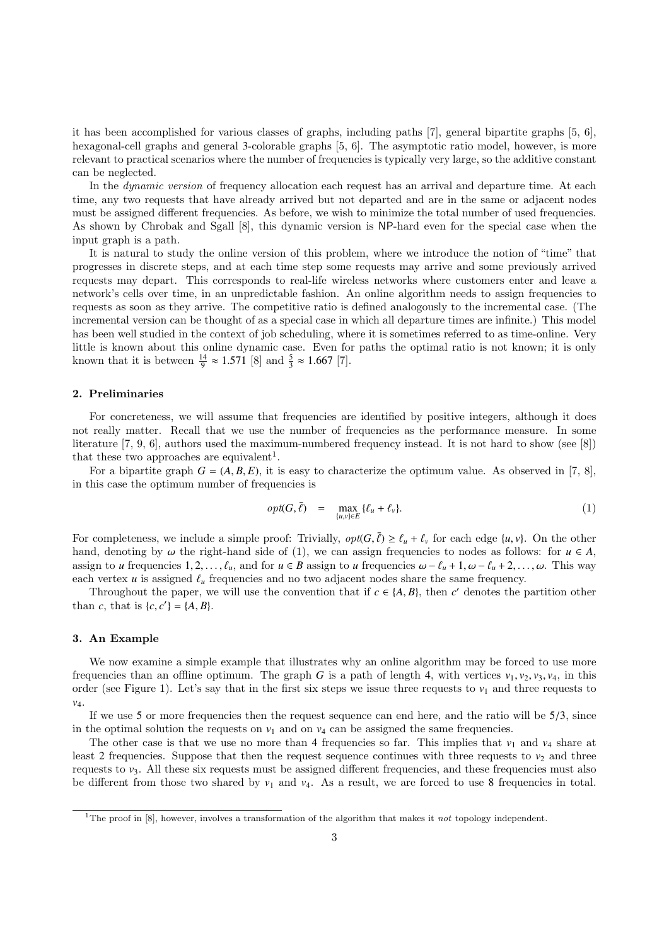it has been accomplished for various classes of graphs, including paths [7], general bipartite graphs [5, 6], hexagonal-cell graphs and general 3-colorable graphs [5, 6]. The asymptotic ratio model, however, is more relevant to practical scenarios where the number of frequencies is typically very large, so the additive constant can be neglected.

In the *dynamic version* of frequency allocation each request has an arrival and departure time. At each time, any two requests that have already arrived but not departed and are in the same or adjacent nodes must be assigned different frequencies. As before, we wish to minimize the total number of used frequencies. As shown by Chrobak and Sgall [8], this dynamic version is NP-hard even for the special case when the input graph is a path.

It is natural to study the online version of this problem, where we introduce the notion of "time" that progresses in discrete steps, and at each time step some requests may arrive and some previously arrived requests may depart. This corresponds to real-life wireless networks where customers enter and leave a network's cells over time, in an unpredictable fashion. An online algorithm needs to assign frequencies to requests as soon as they arrive. The competitive ratio is defined analogously to the incremental case. (The incremental version can be thought of as a special case in which all departure times are infinite.) This model has been well studied in the context of job scheduling, where it is sometimes referred to as time-online. Very little is known about this online dynamic case. Even for paths the optimal ratio is not known; it is only known that it is between  $\frac{14}{9} \approx 1.571$  [8] and  $\frac{5}{3} \approx 1.667$  [7].

## 2. Preliminaries

For concreteness, we will assume that frequencies are identified by positive integers, although it does not really matter. Recall that we use the number of frequencies as the performance measure. In some literature [7, 9, 6], authors used the maximum-numbered frequency instead. It is not hard to show (see [8]) that these two approaches are equivalent<sup>1</sup>.

For a bipartite graph  $G = (A, B, E)$ , it is easy to characterize the optimum value. As observed in [7, 8], in this case the optimum number of frequencies is

$$
opt(G,\bar{\ell}) = \max_{\{u,v\} \in E} {\ell_u + \ell_v}.
$$
 (1)

For completeness, we include a simple proof: Trivially,  $opt(G, \bar{\ell}) \geq \ell_u + \ell_v$  for each edge  $\{u, v\}$ . On the other hand, denoting by  $\omega$  the right-hand side of (1), we can assign frequencies to nodes as follows: for  $u \in A$ , assign to *u* frequencies 1, 2, ...,  $\ell_u$ , and for  $u \in B$  assign to *u* frequencies  $\omega - \ell_u + 1$ ,  $\omega - \ell_u + 2$ , ...,  $\omega$ . This way each vertex  $u$  is assigned  $\ell_u$  frequencies and no two adjacent nodes share the same frequency.

Throughout the paper, we will use the convention that if  $c \in \{A, B\}$ , then *c*' denotes the partition other than *c*, that is  $\{c, c'\} = \{A, B\}.$ 

#### 3. An Example

We now examine a simple example that illustrates why an online algorithm may be forced to use more frequencies than an offline optimum. The graph *G* is a path of length 4, with vertices  $v_1, v_2, v_3, v_4$ , in this order (see Figure 1). Let's say that in the first six steps we issue three requests to  $v_1$  and three requests to *v*4.

If we use 5 or more frequencies then the request sequence can end here, and the ratio will be  $5/3$ , since in the optimal solution the requests on  $v_1$  and on  $v_4$  can be assigned the same frequencies.

The other case is that we use no more than 4 frequencies so far. This implies that  $v_1$  and  $v_4$  share at least 2 frequencies. Suppose that then the request sequence continues with three requests to  $v_2$  and three requests to *v*3. All these six requests must be assigned different frequencies, and these frequencies must also be different from those two shared by  $v_1$  and  $v_4$ . As a result, we are forced to use 8 frequencies in total.

<sup>&</sup>lt;sup>1</sup>The proof in [8], however, involves a transformation of the algorithm that makes it not topology independent.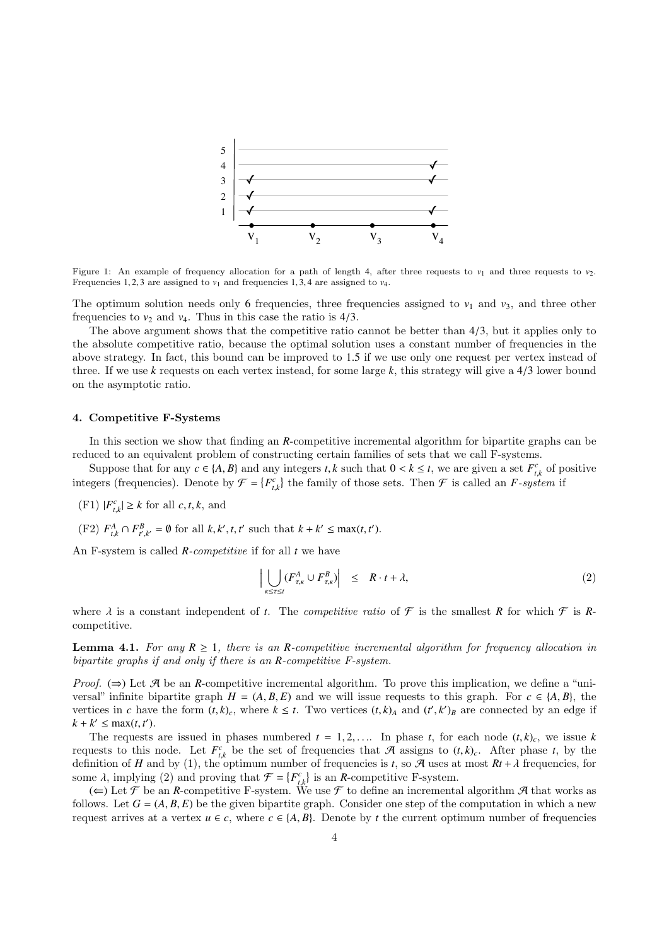

Figure 1: An example of frequency allocation for a path of length 4, after three requests to  $v_1$  and three requests to  $v_2$ . Frequencies 1, 2, 3 are assigned to  $v_1$  and frequencies 1, 3, 4 are assigned to  $v_4$ .

The optimum solution needs only 6 frequencies, three frequencies assigned to  $v_1$  and  $v_3$ , and three other frequencies to  $v_2$  and  $v_4$ . Thus in this case the ratio is  $4/3$ .

The above argument shows that the competitive ratio cannot be better than <sup>4</sup>/3, but it applies only to the absolute competitive ratio, because the optimal solution uses a constant number of frequencies in the above strategy. In fact, this bound can be improved to <sup>1</sup>.<sup>5</sup> if we use only one request per vertex instead of three. If we use *<sup>k</sup>* requests on each vertex instead, for some large *<sup>k</sup>*, this strategy will give a <sup>4</sup>/<sup>3</sup> lower bound on the asymptotic ratio.

## 4. Competitive F-Systems

In this section we show that finding an *R*-competitive incremental algorithm for bipartite graphs can be reduced to an equivalent problem of constructing certain families of sets that we call F-systems.

Suppose that for any  $c \in \{A, B\}$  and any integers *t*, *k* such that  $0 < k \le t$ , we are given a set  $F_{ik}^c$  of positive organ (froguencies). Denote by  $\mathcal{F}_{k-1}$  ( $F_c^c$ ) the femily of these sets. Then  $\mathcal{F}_{k}$  is sal integers (frequencies). Denote by  $\mathcal{F} = \{F_{t,k}^c\}$  the family of those sets. Then  $\mathcal{F}$  is called an *F*-system if

(F1)  $|F_{t,k}^c| \ge k$  for all  $c, t, k$ , and

(F2)  $F_{t,k}^A \cap F_{t',k'}^B = \emptyset$  for all  $k, k', t, t'$  such that  $k + k' \le \max(t, t')$ .

An F-system is called *R*-competitive if for all *t* we have

$$
\left| \bigcup_{\kappa \leq \tau \leq t} (F_{\tau,\kappa}^A \cup F_{\tau,\kappa}^B) \right| \leq R \cdot t + \lambda,
$$
\n(2)

where  $\lambda$  is a constant independent of *t*. The *competitive ratio* of  $\mathcal F$  is the smallest  $R$  for which  $\mathcal F$  is  $R$ competitive.

**Lemma 4.1.** For any  $R \geq 1$ , there is an *R*-competitive incremental algorithm for frequency allocation in bipartite graphs if and only if there is an *R*-competitive F-system.

*Proof.* ( $\Rightarrow$ ) Let A be an *R*-competitive incremental algorithm. To prove this implication, we define a "universal" infinite bipartite graph  $H = (A, B, E)$  and we will issue requests to this graph. For  $c \in \{A, B\}$ , the vertices in *c* have the form  $(t, k)$ <sub>*c*</sub>, where  $k \le t$ . Two vertices  $(t, k)$ <sub>*A*</sub> and  $(t', k')$ <sub>*B*</sub> are connected by an edge if  $k + k' \le \max(t, t')$  $k + k' \leq \max(t, t').$ <br>The requests

The requests are issued in phases numbered  $t = 1, 2, \ldots$ . In phase  $t$ , for each node  $(t, k)$ <sub>c</sub>, we issue  $k$ requests to this node. Let  $F_{i,k}^c$  be the set of frequencies that A assigns to  $(t, k)_c$ . After phase *t*, by the definition of H and by (1) the optimum number of frequencies is t so A uses at most  $Rt + \lambda$  frequencies for definition of *H* and by (1), the optimum number of frequencies is *t*, so *A* uses at most  $Rt + \lambda$  frequencies, for some  $\lambda$ , implying (2) and proving that  $\mathcal{F} = \{F_{t,k}^c\}$  is an *R*-competitive F-system.<br>  $\left(\leftarrow)$  Let  $\mathcal{F}$  be an *R*-competitive E-system. We use  $\mathcal{F}$  to define an increments

 $t \in \mathcal{A}$ , implying (2) and proving that  $t = \begin{bmatrix} t_{i,k} \\ i \end{bmatrix}$  is an *R*-competitive F-system. follows. Let  $G = (A, B, E)$  be the given bipartite graph. Consider one step of the computation in which a new request arrives at a vertex  $u \in c$ , where  $c \in \{A, B\}$ . Denote by *t* the current optimum number of frequencies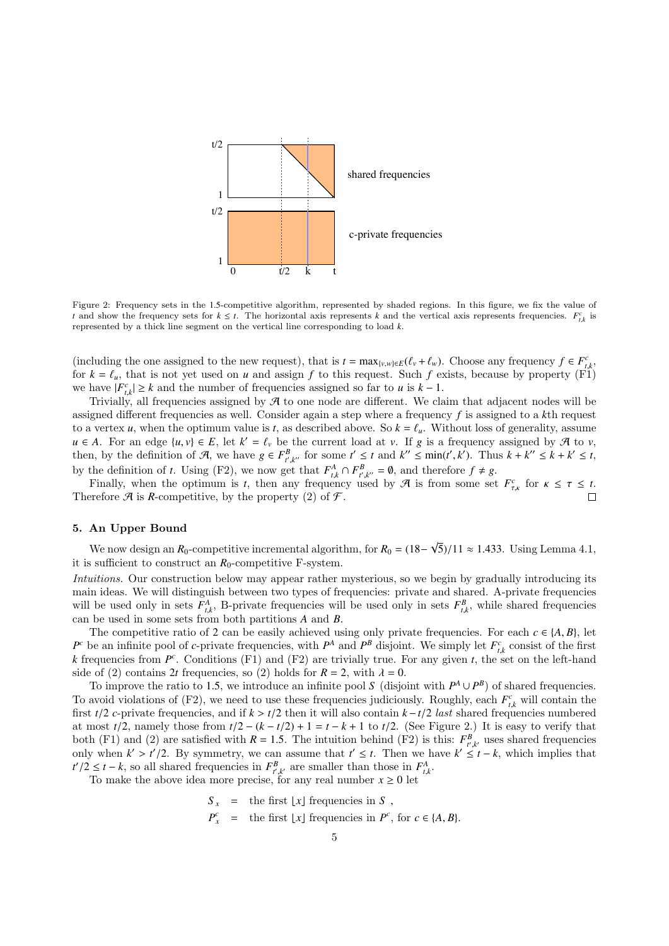

Figure 2: Frequency sets in the <sup>1</sup>.5-competitive algorithm, represented by shaded regions. In this figure, we fix the value of *t* and show the frequency sets for  $k \leq t$ . The horizontal axis represents *k* and the vertical axis represents frequencies.  $F_{t,k}^c$  is represented by a thick line segment on the vertical line corresponding to load *k* represented by a thick line segment on the vertical line corresponding to load *k*.

(including the one assigned to the new request), that is  $t = \max_{\{v,w\} \in E} (\ell_v + \ell_w)$ . Choose any frequency  $f \in F_{\ell,k}^c$ <br>for  $k - \ell$ , that is not yet used on *u* and assign *f* to this request. Such *f* exists, because by pr for  $k = \ell_u$ , that is not yet used on *u* and assign *f* to this request. Such *f* exists, because by property (F1) we have  $|F^c| > k$  and the number of frequencies assigned so far to *u* is  $k - 1$ we have  $|F_{ik}^c| \geq k$  and the number of frequencies assigned so far to *u* is  $k - 1$ .

Trivially, all frequencies assigned by  $\mathcal A$  to one node are different. We claim that adjacent nodes will be assigned different frequencies as well. Consider again a step where a frequency *f* is assigned to a *k*th request to a vertex *u*, when the optimum value is *t*, as described above. So  $k = \ell_u$ . Without loss of generality, assume *u* ∈ *A*. For an edge {*u*, *v*} ∈ *E*, let  $k' = \ell_v$  be the current load at *v*. If *g* is a frequency assigned by  $\mathcal{A}$  to *v*, then by the definition of  $\mathcal{A}$  we have  $g \in F^B$  for some  $t' \le t$  and  $k'' \le \min(t', k')$ . then, by the definition of A, we have  $g \in F_{t,k}^B$  for some  $t' \le t$  and  $k'' \le \min(t',k')$ . Thus  $k + k'' \le k + k' \le t$ ,<br>by the definition of t. Using (E3), we now get that  $F_A^A \cap F_B^B = 0$  and therefore f t.e. by the definition of *t*. Using (F2), we now get that  $F_{t,k}^A \cap F_{t',k''}^B = \emptyset$ , and therefore  $f \neq g$ .<br>Finally when the optimum is *t* then any frequency used by  $\mathcal{A}$  is from some set

Finally, when the optimum is *t*, then any frequency used by  $\mathcal A$  is from some set  $F_{\tau,\kappa}^c$  for  $\kappa \leq \tau \leq t$ . Therefore  $\mathcal A$  is *R*-competitive, by the property (2) of  $\mathcal F$ .

## 5. An Upper Bound

We now design an  $R_0$ -competitive incremental algorithm, for  $R_0 = (18 -$ √ 5)/11 ≈ 1.433. Using Lemma 4.1, it is sufficient to construct an  $R_0$ -competitive F-system.

Intuitions. Our construction below may appear rather mysterious, so we begin by gradually introducing its main ideas. We will distinguish between two types of frequencies: private and shared. A-private frequencies will be used only in sets  $F_{t,k}^A$ , B-private frequencies will be used only in sets  $F_{t,k}^B$ , while shared frequencies<br>can be used in some sets from both partitions A and B  $\sum_{t,k}$  b private requencies with set  $\sum_{t,k}$ , *b* private requencies with can be used in some sets from both partitions *A* and *B*.

The competitive ratio of 2 can be easily achieved using only private frequencies. For each  $c \in \{A, B\}$ , let  $P^c$  be an infinite pool of *c*-private frequencies, with  $P^A$  and  $P^B$  disjoint. We simply let  $F^c_{ik}$  consist of the first *k* frequencies from  $P^c$ . Conditions (F1) and (F2) are trivially true. For any given *t*, the set on the left-hand side of (2) contains 2*t* frequencies, so (2) holds for  $R = 2$ , with  $\lambda = 0$ .

To improve the ratio to 1.5, we introduce an infinite pool *S* (disjoint with  $P^A \cup P^B$ ) of shared frequencies.<br>avoid violations of (E2), we need to use these frequencies indiciously. Boughly, each  $F^c$ , will contain th To avoid violations of (F2), we need to use these frequencies judiciously. Roughly, each  $F_{t,k}^c$  will contain the<br>first  $t/2$  c-private frequencies, and if  $k > t/2$  then it will also contain  $k - t/2$  last shared frequenci first *<sup>t</sup>*/<sup>2</sup> *<sup>c</sup>*-private frequencies, and if *<sup>k</sup>* > *<sup>t</sup>*/<sup>2</sup> then it will also contain *<sup>k</sup>* <sup>−</sup>*t*/<sup>2</sup> last shared frequencies numbered at most  $t/2$ , namely those from  $t/2 - (k - t/2) + 1 = t - k + 1$  to  $t/2$ . (See Figure 2.) It is easy to verify that both (F1) and (2) are satisfied with  $R = 1.5$ . The intuition behind (F2) is this:  $F_{r,k}^B$  uses shared frequencies<br>only when  $k' \le t'/2$ . By symmetry, we can assume that  $t' \le t$ . Then we have  $k' \le t - k$  which implies that only when  $k' > t'/2$ . By symmetry, we can assume that  $t' \le t$ . Then we have  $k' \le t - k$ , which implies that  $t'/2 \le t - k$  so all shared frequencies in  $F^B$  are smaller than those in  $F^A$ *t*<sup>*t*</sup> /2 ≤ *t* − *k*, so all shared frequencies in  $F_{t,k}^B$ , are smaller than those in  $F_{t,k}^A$ .<br>To make the above idea more precise for any real number  $x > 0$  let

To make the above idea more precise, for any real number  $x \geq 0$  let

$$
S_x = \text{the first } [x] \text{ frequencies in } S ,
$$
  

$$
P_x^c = \text{the first } [x] \text{ frequencies in } P^c, \text{ for } c \in \{A, B\}.
$$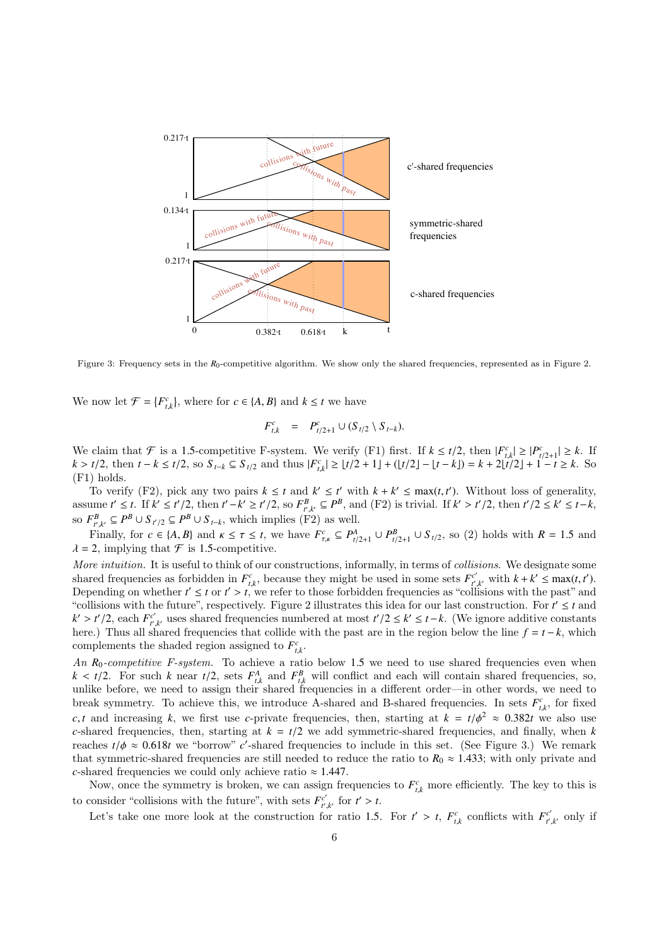

Figure 3: Frequency sets in the *R*<sub>0</sub>-competitive algorithm. We show only the shared frequencies, represented as in Figure 2.

We now let  $\mathcal{F} = \{F_{t,k}^c\}$ , where for  $c \in \{A, B\}$  and  $k \le t$  we have

$$
F_{t,k}^c = P_{t/2+1}^c \cup (S_{t/2} \setminus S_{t-k}).
$$

We claim that  $\mathcal{F}$  is a 1.5-competitive F-system. We verify (F1) first. If  $k \le t/2$ , then  $|F_{t,k}^c| \ge |P_{t/2+1}^c| \ge k$ . If  $k > t/2$  then  $t - k \le t/2$  so  $S_{t,k} \subseteq S_{t/2}$  and thus  $|F_{t-1}^c| > |t/2+1| + (|t/2|-|t-k|) - |t-k| \ge t/2|$  $k > t/2$ , then  $t - k \le t/2$ , so  $S_{t-k} \subseteq S_{t/2}$  and thus  $|F_{t,k}^c| \ge \lfloor t/2 + 1 \rfloor + (\lfloor t/2 \rfloor - \lfloor t - k \rfloor) = k + 2\lfloor t/2 \rfloor + 1 - t \ge k$ . So  $(F1)$  holds (F1) holds.

To verify (F2), pick any two pairs  $k \leq t$  and  $k' \leq t'$  with  $k + k' \leq \max(t, t')$ . Without loss of generality, To verify (F2), pick any two pairs  $k \le t$  and  $k' \le t'$  with  $k + k' \le \max(t, t')$ . Without loss of generality,<br>assume  $t' \le t$ . If  $k' \le t'/2$ , then  $t' - k' \ge t'/2$ , so  $F_{t',k'}^B \subseteq P^B$ , and (F2) is trivial. If  $k' > t'/2$ , then  $t'/2 \le k' \$ so  $F_{t,k}^B \subseteq P^B \cup S_{t'2} \subseteq P^B \cup S_{t-k}$ , which implies (F2) as well.

Finally, for  $c \in \{A, B\}$  and  $\kappa \le \tau \le t$ , we have  $F_{\tau,\kappa}^c \subseteq P_{t/2+1}^A \cup P_{t/2+1}^B \cup S_{t/2}$ , so (2) holds with  $R = 1.5$  and <br> 2 implying that  $\mathcal F$  is 1.5-competitive  $\lambda = 2$ , implying that  $\mathcal F$  is 1.5-competitive.

More intuition. It is useful to think of our constructions, informally, in terms of collisions. We designate some shared frequencies as forbidden in  $F_{t,k}^c$ , because they might be used in some sets  $F_{t}^c$ .<br>Depending on whether  $t' < t$  or  $t' > t$ , we refer to those forbidden frequencies as "coll  $t_{t,k'}^{c'}$  with  $k + k' \leq \max(t, t')$ .<br>Usions with the past" and Depending on whether  $t' \leq t$  or  $t' > t$ , we refer to those forbidden frequencies as "collisions with the past" and "collisions with the future" respectively. Figure 2 illustrates this idea for our last construction. For "collisions with the future", respectively. Figure 2 illustrates this idea for our last construction. For  $t' \leq t$  and  $k' > t'/2$ , each  $F_{t'}^{c'}$ <br>here ) Thus all sh  $t'$ , uses shared frequencies numbered at most  $t'/2 \le k' \le t - k$ . (We ignore additive constants<br>shared frequencies that collide with the past are in the region below the line  $f = t - k$ , which here.) Thus all shared frequencies that collide with the past are in the region below the line  $f = t - k$ , which complements the shaded region assigned to  $F_{\mu}^c$ . *t*,*k*

An  $R_0$ -competitive F-system. To achieve a ratio below 1.5 we need to use shared frequencies even when  $k < t/2$  For such k near  $t/2$  sets  $F^A$  and  $F^B$  will conflict and each will contain shared frequencies so  $k < t/2$ . For such k near  $t/2$ , sets  $F_{t,k}^A$  and  $F_{t,k}^B$  will conflict and each will contain shared frequencies, so, unlike before, we need to assign their shared frequencies in a different order—in other words, we ne break symmetry. To achieve this, we introduce A-shared and B-shared frequencies. In sets  $F_{\mu}^c$ , for fixed *t*,*k* is a finally *k*, we first use *c*-private frequencies, then, starting at  $k = t/\phi^2 \approx 0.382t$  we also use *c*-shared frequencies, then starting at  $k - t/2$  we add symmetric-shared frequencies, and finally when *k c*-shared frequencies, then, starting at  $k = t/2$  we add symmetric-shared frequencies, and finally, when  $k$ reaches  $t/\phi \approx 0.618t$  we "borrow" *c*'-shared frequencies to include in this set. (See Figure 3.) We remark that symmetric-shared frequencies are still needed to reduce the ratio to  $R_0 \approx 1.433$ ; with only private and *c*-shared frequencies we could only achieve ratio  $\approx 1.447$ .

Now, once the symmetry is broken, we can assign frequencies to  $F_{t,k}^c$  more efficiently. The key to this is to consider "collisions with the future", with sets  $F_{r}^{c'}$  $t'_{t',k'}$  for  $t' > t$ .

Let's take one more look at the construction for ratio 1.5. For  $t' > t$ ,  $F_{t,k}^c$  conflicts with  $F_{t'}^{c'}$  $t^r$ <sub>t',k'</sub> only if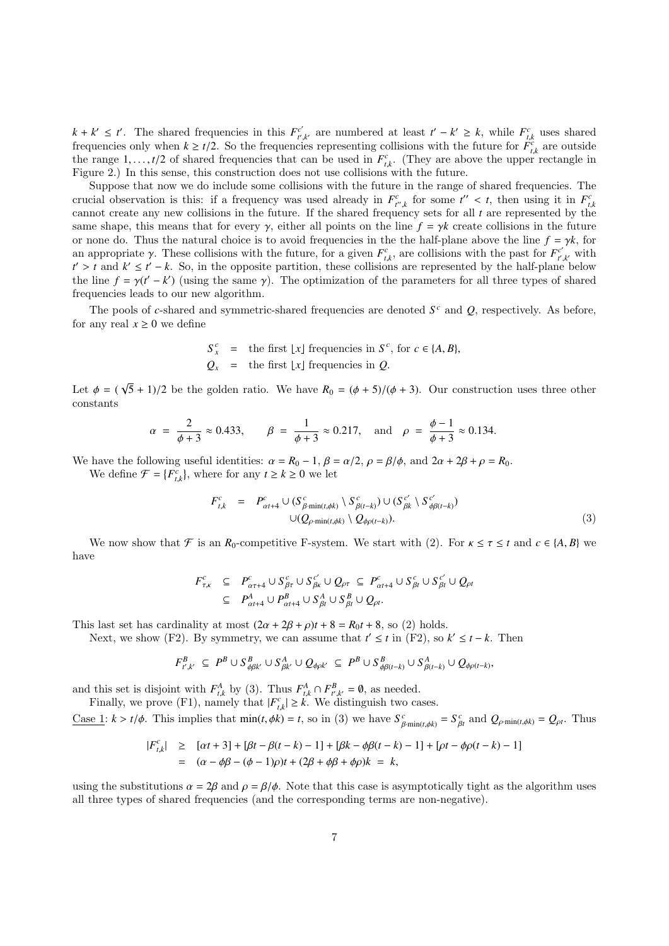$k + k' \leq t'$ . The shared frequencies in this  $F_{t'}^{c'}$ *t*'<sub>*t*</sub>'<sub>*k*</sub></sub> are numbered at least *t*' − *k*' ≥ *k*, while  $F_{t,k}^c$  uses shared frequencies only when  $k \ge t/2$ . So the frequencies representing collisions with the future for  $F_{t,k}^c$  are outside the range 1  $t/2$  of shared frequencies that can be used in  $F_c^c$ . (They are above the upper rectangle the range 1,..., *t*/2 of shared frequencies that can be used in  $F_{t,k}^c$ . (They are above the upper rectangle in Figure 2). In this sense, this construction does not use collisions with the future Figure 2.) In this sense, this construction does not use collisions with the future.

Suppose that now we do include some collisions with the future in the range of shared frequencies. The crucial observation is this: if a frequency was used already in  $F_{t',k}^c$  for some  $t'' < t$ , then using it in  $F_{t,k}^c$ <br>cannot create any new collisions in the future. If the shared frequency sets for all t are represented cannot create any new collisions in the future. If the shared frequency sets for all *t* are represented by the same shape, this means that for every  $\gamma$ , either all points on the line  $f = \gamma k$  create collisions in the future or none do. Thus the natural choice is to avoid frequencies in the the half-plane above the line  $f = \gamma k$ , for an appropriate γ. These collisions with the future, for a given  $F_{k}^c$ , are collisions with the past for  $F_{k}^c$ <br>  $f' \geq f$  and  $k' \leq f' = k$ . So, in the opposite partition, these collisions are represented by the half-pl  $t' > t$  and  $k' \le t' - k$ . So, in the opposite partition, these collisions are represented by the half-plane below<br>
the line  $f - \gamma(t' - k')$  (using the same  $\gamma$ ). The optimization of the parameters for all three types of shared  $\boldsymbol{f}^{\prime\prime}_{t^{\prime},k^{\prime}}$  with the line  $f = \gamma(t' - k')$  (using the same  $\gamma$ ). The optimization of the parameters for all three types of shared frequencies leads to our new algorithm frequencies leads to our new algorithm.

The pools of *c*-shared and symmetric-shared frequencies are denoted *S <sup>c</sup>* and *Q*, respectively. As before, for any real  $x \geq 0$  we define

$$
S_x^c = \text{the first } \lfloor x \rfloor \text{ frequencies in } S^c, \text{ for } c \in \{A, B\},
$$
  

$$
Q_x = \text{the first } \lfloor x \rfloor \text{ frequencies in } Q.
$$

Let  $\phi = ($ √  $(5 + 1)/2$  be the golden ratio. We have  $R_0 = (\phi + 5)/(\phi + 3)$ . Our construction uses three other constants

$$
\alpha = \frac{2}{\phi + 3} \approx 0.433
$$
,  $\beta = \frac{1}{\phi + 3} \approx 0.217$ , and  $\rho = \frac{\phi - 1}{\phi + 3} \approx 0.134$ .

We have the following useful identities:  $\alpha = R_0 - 1$ ,  $\beta = \alpha/2$ ,  $\rho = \beta/\phi$ , and  $2\alpha + 2\beta + \rho = R_0$ .

We define  $\mathcal{F} = \{F_{t,k}^c\}$ , where for any  $t \ge k \ge 0$  we let

$$
F_{t,k}^c = P_{\alpha t+4}^c \cup (S_{\beta \min(t,\phi k)}^c \setminus S_{\beta(t-k)}^c) \cup (S_{\beta k}^{c'} \setminus S_{\phi\beta(t-k)}^{c'})
$$
  

$$
\cup (Q_{\rho \min(t,\phi k)} \setminus Q_{\phi\rho(t-k)}).
$$
 (3)

We now show that  $\mathcal{F}$  is an  $R_0$ -competitive F-system. We start with (2). For  $\kappa \leq \tau \leq t$  and  $c \in \{A, B\}$  we have

$$
F_{\tau,\kappa}^c \subseteq P_{\alpha\tau+4}^c \cup S_{\beta\tau}^c \cup S_{\beta\kappa}^c \cup Q_{\rho\tau} \subseteq P_{\alpha t+4}^c \cup S_{\beta t}^c \cup S_{\beta t}^c \cup Q_{\rho t}
$$
  

$$
\subseteq P_{\alpha t+4}^A \cup P_{\alpha t+4}^B \cup S_{\beta t}^A \cup S_{\beta t}^B \cup Q_{\rho t}.
$$

This last set has cardinality at most  $(2\alpha + 2\beta + \rho)t + 8 = R_0t + 8$ , so (2) holds.

Next, we show (F2). By symmetry, we can assume that  $t' \leq t$  in (F2), so  $k' \leq t - k$ . Then

$$
F_{t',k'}^B \subseteq P^B \cup S_{\phi\beta k'}^B \cup S_{\beta k'}^A \cup Q_{\phi\rho k'} \subseteq P^B \cup S_{\phi\beta(t-k)}^B \cup S_{\beta(t-k)}^A \cup Q_{\phi\rho(t-k)},
$$

and this set is disjoint with  $F_{t,k}^A$  by (3). Thus  $F_{t,k}^A \cap F_{t,k'}^B = \emptyset$ , as needed.<br>Finally we prove (F1), namely that  $|F^c| > k$ . We distinguish two ca

Finally, we prove (F1), namely that  $|F_{t,k}^c| \geq k$ . We distinguish two cases.

<u>Case 1</u>:  $k > t/\phi$ . This implies that  $min(t, \phi k) = t$ , so in (3) we have  $S_{\beta \cdot min(t, \phi k)}^c = S_{\beta t}^c$  and  $Q_{\rho \cdot min(t, \phi k)} = Q_{\rho t}$ . Thus

$$
\begin{aligned} |F_{t,k}^c| &\geq \left[ \alpha t + 3 \right] + \left[ \beta t - \beta (t - k) - 1 \right] + \left[ \beta k - \phi \beta (t - k) - 1 \right] + \left[ \rho t - \phi \rho (t - k) - 1 \right] \\ &= \left( \alpha - \phi \beta - (\phi - 1)\rho \right) t + (2\beta + \phi \beta + \phi \rho) k = k, \end{aligned}
$$

using the substitutions  $\alpha = 2\beta$  and  $\rho = \beta/\phi$ . Note that this case is asymptotically tight as the algorithm uses all three types of shared frequencies (and the corresponding terms are non-negative).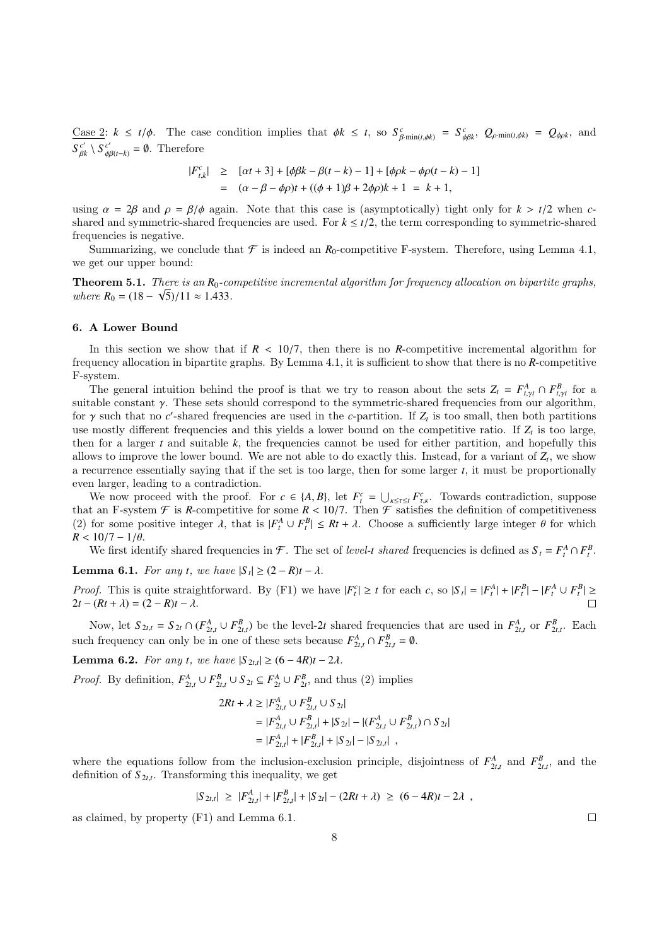$\frac{\text{Case 2: }}{S}$   $k \leq t/\phi$ . The case condition implies that  $\phi k \leq t$ , so  $S^c_{\beta \min(t,\phi k)} = S^c_{\phi \beta k}$ ,  $Q_{\rho \min(t,\phi k)} = Q_{\phi \rho k}$ , and  $S_{\ \beta i}^{\ c'}$  $\mathcal{S}_{\beta k}^{c'} \setminus \mathcal{S}_{\phi\beta(t-k)}^{c'} = \emptyset$ . Therefore

$$
\begin{array}{rcl}\n|F_{t,k}^c| & \geq & [\alpha t + 3] + [\phi \beta k - \beta(t - k) - 1] + [\phi \rho k - \phi \rho(t - k) - 1] \\
& = & (\alpha - \beta - \phi \rho)t + ((\phi + 1)\beta + 2\phi \rho)k + 1 = k + 1,\n\end{array}
$$

using  $\alpha = 2\beta$  and  $\rho = \beta/\phi$  again. Note that this case is (asymptotically) tight only for  $k > t/2$  when *c*shared and symmetric-shared frequencies are used. For  $k \leq t/2$ , the term corresponding to symmetric-shared frequencies is negative.

Summarizing, we conclude that  $\mathcal F$  is indeed an  $R_0$ -competitive F-system. Therefore, using Lemma 4.1, we get our upper bound:

**Theorem 5.1.** There is an  $R_0$ -competitive incremental algorithm for frequency allocation on bipartite graphs, where  $R_0 = (18 - \sqrt{5})/11 \approx 1.433$ .

#### 6. A Lower Bound

In this section we show that if  $R < 10/7$ , then there is no *R*-competitive incremental algorithm for frequency allocation in bipartite graphs. By Lemma 4.1, it is sufficient to show that there is no *R*-competitive F-system.

The general intuition behind the proof is that we try to reason about the sets  $Z_t = F_{t, \gamma t}^A \cap F_{t, \gamma t}^B$  for a cable constant  $\gamma$ . These sets should correspond to the symmetric shared frequencies from our algorithm suitable constant  $\gamma$ . These sets should correspond to the symmetric-shared frequencies from our algorithm, for  $\gamma$  such that no *c*'-shared frequencies are used in the *c*-partition. If  $Z_t$  is too small, then both partitions use mostly different frequencies and this vields a lower bound on the competitive ratio. If  $Z$  is to use mostly different frequencies and this yields a lower bound on the competitive ratio. If  $Z_t$  is too large, then for a larger  $t$  and suitable  $k$ , the frequencies cannot be used for either partition, and hopefully this allows to improve the lower bound. We are not able to do exactly this. Instead, for a variant of  $Z_t$ , we show a recurrence essentially saying that if the set is too large, then for some larger *t*, it must be proportionally even larger, leading to a contradiction.

We now proceed with the proof. For  $c \in \{A, B\}$ , let  $F_t^c = \bigcup_{k \leq \tau \leq t} F_{\tau,k}^c$ . Towards contradiction, suppose t an E-system  $\mathcal{F}$  is **R**-connectitive for some  $R < 10/7$ . Then  $\mathcal{F}$  satisfies the definition of that an F-system  $\mathcal F$  is *R*-competitive for some  $R < 10/7$ . Then  $\mathcal F$  satisfies the definition of competitiveness (2) for some positive integer *A* that is  $[F^A + F^B] < Bt + \lambda$ . Choose a sufficiently large integer *A* fo (2) for some positive integer  $\lambda$ , that is  $|F_t^A \cup F_t^B| \leq Rt + \lambda$ . Choose a sufficiently large integer  $\theta$  for which  $R > 10/7 - 1/\theta$  $R < 10/7 - 1/\theta$ .

We first identify shared frequencies in  $\mathcal{F}$ . The set of *level-t shared* frequencies is defined as  $S_t = F_t^A \cap F_t^B$ .

Lemma 6.1. For any *t*, we have  $|S_t| \ge (2 - R)t - \lambda$ .

*Proof.* This is quite straightforward. By (F1) we have  $|F_t^c| \ge t$  for each c, so  $|S_t| = |F_t^A| + |F_t^B| - |F_t^A \cup F_t^B| \ge$  $2t - (Rt + \lambda) = (2 - R)t - \lambda$ .

Now, let  $S_{2t,t} = S_{2t} \cap (F_{2t,t}^A \cup F_{2t,t}^B)$  be the level-2t shared frequencies that are used in  $F_{2t,t}^A$  or  $F_{2t,t}^B$ . Each such frequency can only be in one of these sets because  $F_{2t,t}^A \cap F_{2t,t}^B = \emptyset$ .

**Lemma 6.2.** For any *t*, we have  $|S_{2t,t}|$  ≥ (6 − 4*R*)*t* − 2*λ*.

*Proof.* By definition,  $F_{2t,t}^A \cup F_{2t,t}^B \cup S_{2t} \subseteq F_{2t}^A \cup F_{2t}^B$ , and thus (2) implies

$$
2Rt + \lambda \ge |F_{2t,t}^{A} \cup F_{2t,t}^{B} \cup S_{2t}|
$$
  
= |F\_{2t,t}^{A} \cup F\_{2t,t}^{B}| + |S\_{2t}| - |(F\_{2t,t}^{A} \cup F\_{2t,t}^{B}) \cap S\_{2t}|  
= |F\_{2t,t}^{A}| + |F\_{2t,t}^{B}| + |S\_{2t}| - |S\_{2t,t}| ,

where the equations follow from the inclusion-exclusion principle, disjointness of  $F_{2t,t}^A$  and  $F_{2t,t}^B$ , and the definition of  $S_{2t,t}$ . Transforming this inequality we get definition of  $S_{2t,t}$ . Transforming this inequality, we get

$$
|S_{2t,t}| \geq |F_{2t,t}^A| + |F_{2t,t}^B| + |S_{2t}| - (2Rt + \lambda) \geq (6 - 4R)t - 2\lambda,
$$

8

as claimed, by property (F1) and Lemma 6.1.

 $\Box$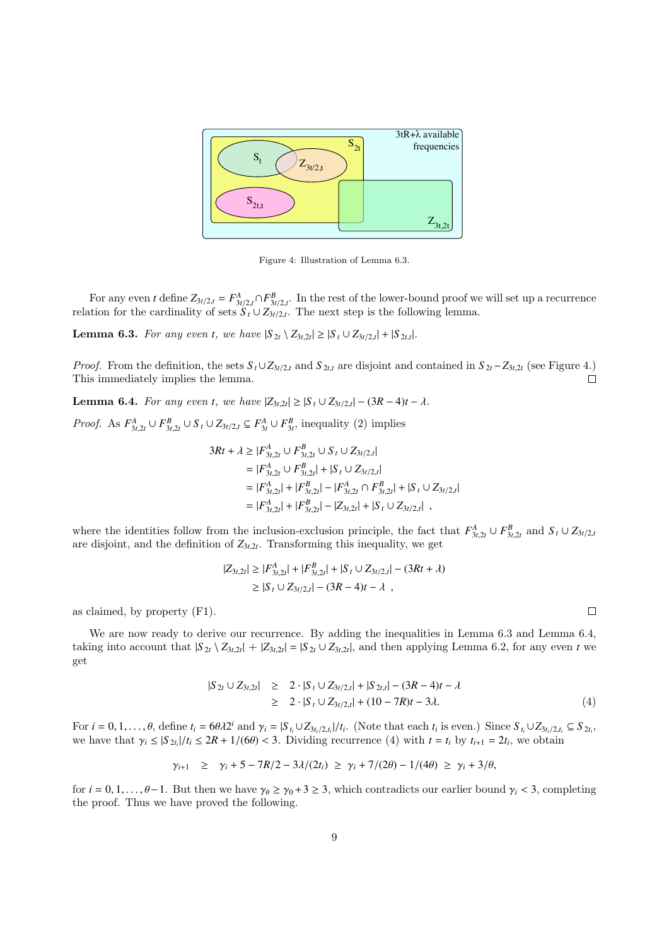

Figure 4: Illustration of Lemma 6.3.

For any even *t* define  $Z_{3t/2,t} = F_{3t/2,t}^A \cap F_{3t/2,t}^B$ . In the rest of the lower-bound proof we will set up a recurrence relation for the cardinality of sets  $S_t \cup Z_{3t/2,t}$ . The next step is the following lemma.

Lemma 6.3. For any even *t*, we have  $|S_{2t} \setminus Z_{3t,2t}| \geq |S_t \cup Z_{3t/2,t}| + |S_{2t,t}|$ .

*Proof.* From the definition, the sets  $S_t \cup Z_{3t/2,t}$  and  $S_{2t,t}$  are disjoint and contained in  $S_{2t} - Z_{3t,2t}$  (see Figure 4.)<br>This immediately implies the lemma. This immediately implies the lemma.

**Lemma 6.4.** For any even *t*, we have  $|Z_{3t,2t}| \ge |S_t \cup Z_{3t/2,t}| - (3R - 4)t - \lambda$ .

*Proof.* As  $F_{3t,2t}^A \cup F_{3t,2t}^B \cup S_t \cup Z_{3t/2,t} \subseteq F_{3t}^A \cup F_{3t}^B$ , inequality (2) implies

$$
3Rt + \lambda \ge |F_{3t,2t}^A \cup F_{3t,2t}^B \cup S_t \cup Z_{3t/2,t}|
$$
  
\n= |F\_{3t,2t}^A \cup F\_{3t,2t}^B| + |S\_t \cup Z\_{3t/2,t}|  
\n= |F\_{3t,2t}^A| + |F\_{3t,2t}^B| - |F\_{3t,2t}^A \cap F\_{3t,2t}^B| + |S\_t \cup Z\_{3t/2,t}|  
\n= |F\_{3t,2t}^A| + |F\_{3t,2t}^B| - |Z\_{3t,2t}| + |S\_t \cup Z\_{3t/2,t}|,

where the identities follow from the inclusion-exclusion principle, the fact that  $F_{3t,2t}^A \cup F_{3t,2t}^B$  and  $S_t \cup Z_{3t/2,t}$ <br>are disjoint, and the definition of  $Z_{3t,2t}$ . Transforming this inequality, we get are disjoint, and the definition of  $Z_{3t,2t}$ . Transforming this inequality, we get

$$
|Z_{3t,2t}| \ge |F_{3t,2t}^A| + |F_{3t,2t}^B| + |S_t \cup Z_{3t/2,t}| - (3Rt + \lambda)
$$
  
\n
$$
\ge |S_t \cup Z_{3t/2,t}| - (3R - 4)t - \lambda ,
$$

as claimed, by property (F1).

We are now ready to derive our recurrence. By adding the inequalities in Lemma 6.3 and Lemma 6.4, taking into account that  $|S_{2t} \setminus Z_{3t,2t}| + |Z_{3t,2t}| = |S_{2t} \cup Z_{3t,2t}|$ , and then applying Lemma 6.2, for any even *t* we get

$$
|S_{2t} \cup Z_{3t,2t}| \geq 2 \cdot |S_t \cup Z_{3t/2,t}| + |S_{2t,t}| - (3R - 4)t - \lambda
$$
  
\n
$$
\geq 2 \cdot |S_t \cup Z_{3t/2,t}| + (10 - 7R)t - 3\lambda.
$$
 (4)

For  $i = 0, 1, ..., \theta$ , define  $t_i = 6\theta \lambda 2^i$  and  $\gamma_i = |S_{t_i} \cup Z_{3t_i/2,t_i}|/t_i$ . (Note that each  $t_i$  is even.) Since  $S_{t_i} \cup Z_{3t_i/2,t_i} \subseteq S_{2t_i}$ , we have that  $\gamma_i \leq |S_{2t_i}|/t_i \leq 2R + 1/(6\theta) < 3$ . Dividing recurrence (4) with  $t = t_i$  by  $t_{i+1} = 2t_i$ , we obtain

$$
\gamma_{i+1} \geq \gamma_i + 5 - 7R/2 - 3\lambda/(2t_i) \geq \gamma_i + 7/(2\theta) - 1/(4\theta) \geq \gamma_i + 3/\theta,
$$

for  $i = 0, 1, \ldots, \theta-1$ . But then we have  $\gamma_{\theta} \geq \gamma_0 + 3 \geq 3$ , which contradicts our earlier bound  $\gamma_i < 3$ , completing the proof. Thus we have proved the following.